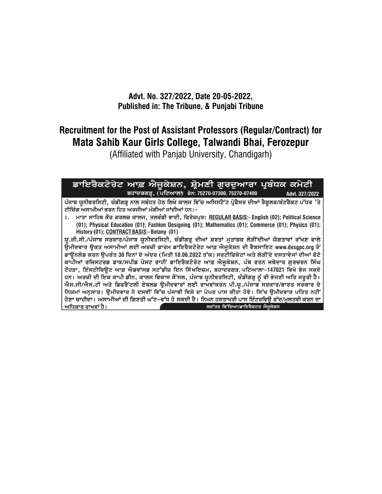## Advt. No. 327/2022, Date 20-05-2022, Published in: The Tribune, & Punjabi Tribune

# Recruitment for the Post of Assistant Professors (Regular/Contract) for Mata Sahib Kaur Girls College, Talwandi Bhai, Ferozepur

(Affiliated with Panjab University, Chandigarh)

ਡਾਇਰੈਕਟੋਰੇਟ ਆਫ਼ ਐਜੁਕੇਸ਼ਨ, ਸ਼੍ਰੋਮਣੀ ਗੁਰਦੁਆਰਾ ਪ੍ਰਬੰਧਕ ਕਮੇਟੀ ਬਹਾਦਰਗੜ੍ਹ, (ਪਟਿਆਲਾ) ਫੋਨ: 75270-07300, 75270-07400 Advt. 327/2022 ਪੰਜਾਬ ਯੂਨੀਵਰਸਿਟੀ, ਚੰਡੀਗੜ੍ਹ ਨਾਲ ਸਬੰਧਤ ਹੇਠ ਲਿਖੇ ਕਾਲਜ ਵਿੱਚ ਅਸਿਸਟੈਂਟ ਪ੍ਰੋਫੈਸਰ ਦੀਆਂ ਰੈਗੂਲਰ/ਕੰਟਰੈਕਟ ਪੱਧਰ 'ਤੇ ਟੀਚਿੰਗ ਅਸਾਮੀਆਂ ਭਰਨ ਹਿਤ ਅਰਜੀਆਂ ਮੰਗੀਆਂ ਜਾਂਦੀਆਂ ਹਨ:– 1. ਮਾਤਾ ਸਾਹਿਬ ਕੌਰ ਗਰਲਜ਼ ਕਾਲਜ, ਤਲਵੰਡੀ ਭਾਈ, ਫਿਰੋਜ਼ਪਰ: REGULAR BASIS:- English (02); Political Science (01); Physical Education (01); Fashion Designing (01); Mathematics (01); Commerce (01); Physics (01); History (01); CONTRACT BASIS:- Botany (01) ਯੂ.ਜੀ.ਸੀ./ਪੰਜਾਬ ਸਰਕਾਰ/ਪੰਜਾਬ ਯੂਨੀਵਰਸਿਟੀ, ਚੰਡੀਗੜ੍ਹ ਦੀਆਂ ਸ਼ਰਤਾਂ ਮੁਤਾਬਕ ਲੋੜੀਂਦੀਆਂ ਯੋਗਤਾਵਾਂ ਰੱਖਣ ਵਾਲੇ ਉਮੀਦਵਾਰ ੳਕਤ ਅਸਾਮੀਆਂ ਲਈ ਅਰਜ਼ੀ ਫਾਰਮ ਡਾਇਰੈਕਟੋਰੇਟ ਆਫ਼ ਐਜਕੇਸ਼ਨ ਦੀ ਵੈਬਸਾਇਟ www.desqpc.org ਤੋਂ ਡਾਊਨਲੋਡ ਕਰਨ ਉਪਰੰਤ 30 ਦਿਨਾਂ ਦੇ ਅੰਦਰ (ਮਿਤੀ 18.06.2022 ਤੱਕ) ਸਰਟੀਫਿਕੇਟਾਂ ਅਤੇ ਲੋੜੀਂਦੇ ਦਸਤਾਵੇਜਾਂ ਦੀਆਂ ਫੋਟੋ ਕਾਪੀਆਂ ਰਜਿਸਟਰਡ ਡਾਕ/ਸਪੀਡ ਪੋਸਟ ਰਾਹੀਂ ਡਾਇਰੈਕਟੋਰੇਟ ਆਫ਼ ਐਜਕੇਸ਼ਨ, ਪੰਥ ਰਤਨ ਜਥੇਦਾਰ ਗਰਚਰਨ ਸਿੰਘ ਟੌਹੜਾ, ਇੰਸਟੀਚਿਊਟ ਆਫ਼ ਐਡਵਾਂਸਡ ਸਟੱਡੀਜ਼ ਇਨ ਸਿੱਖਇਜ਼ਮ, ਬਹਾਦਰਗੜ,ਪਟਿਆਲਾ-147021 ਵਿਖੇ ਭੇਜ ਸਕਦੇ ਹਨ। ਅਰਜ਼ੀ ਦੀ ਇਕ ਕਾਪੀ ਡੀਨ, ਕਾਲਜ ਵਿਕਾਸ ਕੌਂਸਲ, ਪੰਜਾਬ ਯੂਨੀਵਰਸਿਟੀ, ਚੰਡੀਗੜ੍ਹ ਨੂੰ ਵੀ ਭੇਜਣੀ ਅਤਿ ਜਰੂਰੀ ਹੈ। ਐਸ.ਸੀ/ਐਸ.ਟੀ ਅਤੇ ਡਿਫਰੈਂਟਲੀ ਏਬਲਡ ਉਮੀਦਵਾਰਾਂ ਲਈ ਰਾਖਵਾਂਕਰਨ ਪੀ.ਯੂ./ਪੰਜਾਬ ਸਰਕਾਰ/ਭਾਰਤ ਸਰਕਾਰ ਦੇ ਨਿਯਮਾਂ ਅਨੁਸਾਰ। ਉਮੀਦਵਾਰ ਨੇ ਦਸਵੀਂ ਵਿੱਚ ਪੰਜਾਬੀ ਵਿਸ਼ੇ ਦਾ ਪੇਪਰ ਪਾਸ ਕੀਤਾ ਹੋਵੇ। ਸਿੱਖ ਉਮੀਦਵਾਰ ਪਤਿਤ ਨਹੀਂ ਹੋਣਾ ਚਾਹੀਦਾ। ਅਸਾਮੀਆਂ ਦੀ ਗਿਣਤੀ ਘੱਟ–ਵੱਧ ਹੋ ਸਕਦੀ ਹੈ। ਨਿਮਨ ਹਸਤਾਖਰੀ ਪਾਸ ਇੰਟਰਵਿਊ ਰੱਦ/ਮਲਤਵੀ ਕਰਨ ਦਾ ਅਧਿਕਾਰ ਰਾਖਵਾਂ ਹੈ। ਸਕੱਤਰ ਵਿੱਦਿਆ/ਡਾਇਰੈਕਟਰ ਐਜੂਕੇਸ਼ਨ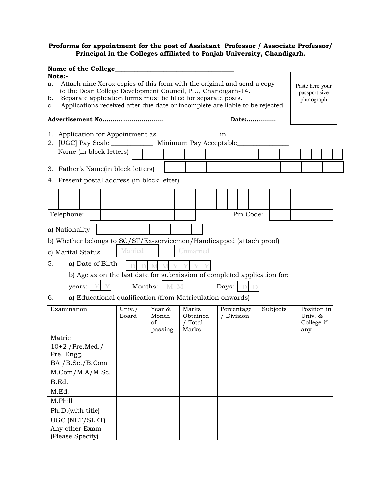### Proforma for appointment for the post of Assistant Professor / Associate Professor/ Principal in the Colleges affiliated to Panjab University, Chandigarh.

| Name of the College                                                                                                                                                |                    |                                  |  |  |                                       |  |  |                                  |                          |           |          |  |     |                                      |  |  |
|--------------------------------------------------------------------------------------------------------------------------------------------------------------------|--------------------|----------------------------------|--|--|---------------------------------------|--|--|----------------------------------|--------------------------|-----------|----------|--|-----|--------------------------------------|--|--|
| Note:-<br>Attach nine Xerox copies of this form with the original and send a copy<br>a.<br>to the Dean College Development Council, P.U, Chandigarh-14.            |                    |                                  |  |  |                                       |  |  | Paste here your<br>passport size |                          |           |          |  |     |                                      |  |  |
| Separate application forms must be filled for separate posts.<br>b.<br>photograph<br>Applications received after due date or incomplete are liable to be rejected. |                    |                                  |  |  |                                       |  |  |                                  |                          |           |          |  |     |                                      |  |  |
| c.                                                                                                                                                                 |                    |                                  |  |  |                                       |  |  |                                  |                          |           |          |  |     |                                      |  |  |
| Advertisement No                                                                                                                                                   |                    |                                  |  |  |                                       |  |  |                                  |                          |           | Date:    |  |     |                                      |  |  |
| 1. Application for Appointment as<br>2. [UGC] Pay Scale ______________ Minimum Pay Acceptable_                                                                     |                    |                                  |  |  |                                       |  |  |                                  |                          |           |          |  |     |                                      |  |  |
| Name (in block letters) $\Box$                                                                                                                                     |                    |                                  |  |  |                                       |  |  |                                  |                          |           |          |  |     |                                      |  |  |
| 3. Father's Name(in block letters)                                                                                                                                 |                    |                                  |  |  |                                       |  |  |                                  |                          |           |          |  |     |                                      |  |  |
| 4. Present postal address (in block letter)                                                                                                                        |                    |                                  |  |  |                                       |  |  |                                  |                          |           |          |  |     |                                      |  |  |
|                                                                                                                                                                    |                    |                                  |  |  |                                       |  |  |                                  |                          |           |          |  |     |                                      |  |  |
|                                                                                                                                                                    |                    |                                  |  |  |                                       |  |  |                                  |                          |           |          |  |     |                                      |  |  |
| Telephone:                                                                                                                                                         |                    |                                  |  |  |                                       |  |  |                                  |                          | Pin Code: |          |  |     |                                      |  |  |
| a) Nationality                                                                                                                                                     |                    |                                  |  |  |                                       |  |  |                                  |                          |           |          |  |     |                                      |  |  |
| b) Whether belongs to SC/ST/Ex-servicemen/Handicapped (attach proof)                                                                                               |                    |                                  |  |  |                                       |  |  |                                  |                          |           |          |  |     |                                      |  |  |
|                                                                                                                                                                    | Married            |                                  |  |  |                                       |  |  |                                  |                          |           |          |  |     |                                      |  |  |
| Unmarried<br>c) Marital Status                                                                                                                                     |                    |                                  |  |  |                                       |  |  |                                  |                          |           |          |  |     |                                      |  |  |
| 5.<br>a) Date of Birth                                                                                                                                             |                    |                                  |  |  |                                       |  |  |                                  |                          |           |          |  |     |                                      |  |  |
| b) Age as on the last date for submission of completed application for:                                                                                            |                    |                                  |  |  |                                       |  |  |                                  |                          |           |          |  |     |                                      |  |  |
| Months:<br>Days:<br>years:<br>N M                                                                                                                                  |                    |                                  |  |  |                                       |  |  |                                  |                          |           |          |  |     |                                      |  |  |
| a) Educational qualification (from Matriculation onwards)<br>6.                                                                                                    |                    |                                  |  |  |                                       |  |  |                                  |                          |           |          |  |     |                                      |  |  |
| Examination                                                                                                                                                        | Univ. $/$<br>Board | Year &<br>Month<br>οf<br>passing |  |  | Marks<br>Obtained<br>/ Total<br>Marks |  |  |                                  | Percentage<br>/ Division |           | Subjects |  | any | Position in<br>Univ. &<br>College if |  |  |
| Matric                                                                                                                                                             |                    |                                  |  |  |                                       |  |  |                                  |                          |           |          |  |     |                                      |  |  |
| $10+2$ /Pre.Med./<br>Pre. Engg.                                                                                                                                    |                    |                                  |  |  |                                       |  |  |                                  |                          |           |          |  |     |                                      |  |  |
| BA / B.Sc./ B.Com                                                                                                                                                  |                    |                                  |  |  |                                       |  |  |                                  |                          |           |          |  |     |                                      |  |  |
| M. Com/M.A/M.Sc.                                                                                                                                                   |                    |                                  |  |  |                                       |  |  |                                  |                          |           |          |  |     |                                      |  |  |
| B.Ed.                                                                                                                                                              |                    |                                  |  |  |                                       |  |  |                                  |                          |           |          |  |     |                                      |  |  |
| M.Ed.                                                                                                                                                              |                    |                                  |  |  |                                       |  |  |                                  |                          |           |          |  |     |                                      |  |  |
| M.Phill                                                                                                                                                            |                    |                                  |  |  |                                       |  |  |                                  |                          |           |          |  |     |                                      |  |  |
| Ph.D.(with title)                                                                                                                                                  |                    |                                  |  |  |                                       |  |  |                                  |                          |           |          |  |     |                                      |  |  |
| UGC (NET/SLET)                                                                                                                                                     |                    |                                  |  |  |                                       |  |  |                                  |                          |           |          |  |     |                                      |  |  |
| Any other Exam<br>(Please Specify)                                                                                                                                 |                    |                                  |  |  |                                       |  |  |                                  |                          |           |          |  |     |                                      |  |  |